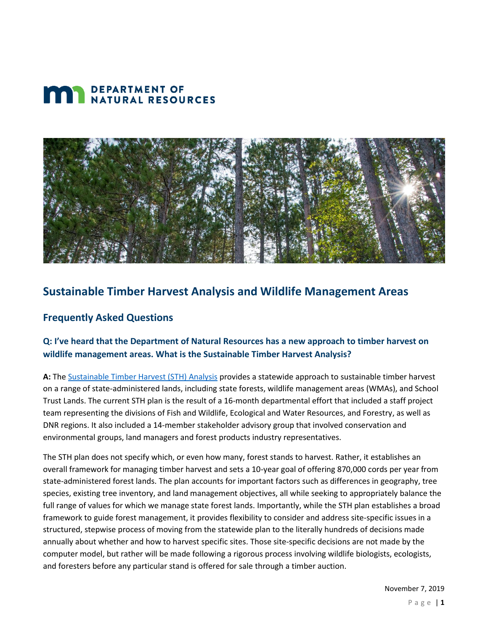



# **Sustainable Timber Harvest Analysis and Wildlife Management Areas**

### **Frequently Asked Questions**

## **Q: I've heard that the Department of Natural Resources has a new approach to timber harvest on wildlife management areas. What is the Sustainable Timber Harvest Analysis?**

**A:** The [Sustainable Timber Harvest \(STH\) Analysis](https://www.dnr.state.mn.us/forestry/harvest-analysis/index.html) provides a statewide approach to sustainable timber harvest on a range of state-administered lands, including state forests, wildlife management areas (WMAs), and School Trust Lands. The current STH plan is the result of a 16-month departmental effort that included a staff project team representing the divisions of Fish and Wildlife, Ecological and Water Resources, and Forestry, as well as DNR regions. It also included a 14-member stakeholder advisory group that involved conservation and environmental groups, land managers and forest products industry representatives.

The STH plan does not specify which, or even how many, forest stands to harvest. Rather, it establishes an overall framework for managing timber harvest and sets a 10-year goal of offering 870,000 cords per year from state-administered forest lands. The plan accounts for important factors such as differences in geography, tree species, existing tree inventory, and land management objectives, all while seeking to appropriately balance the full range of values for which we manage state forest lands. Importantly, while the STH plan establishes a broad framework to guide forest management, it provides flexibility to consider and address site-specific issues in a structured, stepwise process of moving from the statewide plan to the literally hundreds of decisions made annually about whether and how to harvest specific sites. Those site-specific decisions are not made by the computer model, but rather will be made following a rigorous process involving wildlife biologists, ecologists, and foresters before any particular stand is offered for sale through a timber auction.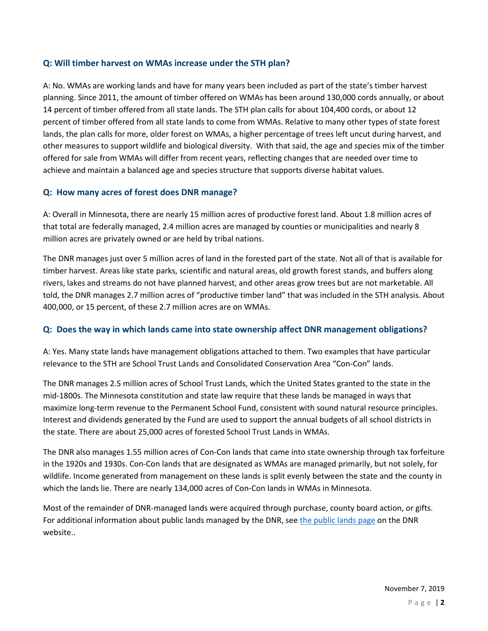#### **Q: Will timber harvest on WMAs increase under the STH plan?**

A: No. WMAs are working lands and have for many years been included as part of the state's timber harvest planning. Since 2011, the amount of timber offered on WMAs has been around 130,000 cords annually, or about 14 percent of timber offered from all state lands. The STH plan calls for about 104,400 cords, or about 12 percent of timber offered from all state lands to come from WMAs. Relative to many other types of state forest lands, the plan calls for more, older forest on WMAs, a higher percentage of trees left uncut during harvest, and other measures to support wildlife and biological diversity. With that said, the age and species mix of the timber offered for sale from WMAs will differ from recent years, reflecting changes that are needed over time to achieve and maintain a balanced age and species structure that supports diverse habitat values.

#### **Q: How many acres of forest does DNR manage?**

A: Overall in Minnesota, there are nearly 15 million acres of productive forest land. About 1.8 million acres of that total are federally managed, 2.4 million acres are managed by counties or municipalities and nearly 8 million acres are privately owned or are held by tribal nations.

The DNR manages just over 5 million acres of land in the forested part of the state. Not all of that is available for timber harvest. Areas like state parks, scientific and natural areas, old growth forest stands, and buffers along rivers, lakes and streams do not have planned harvest, and other areas grow trees but are not marketable. All told, the DNR manages 2.7 million acres of "productive timber land" that was included in the STH analysis. About 400,000, or 15 percent, of these 2.7 million acres are on WMAs.

### **Q: Does the way in which lands came into state ownership affect DNR management obligations?**

A: Yes. Many state lands have management obligations attached to them. Two examples that have particular relevance to the STH are School Trust Lands and Consolidated Conservation Area "Con-Con" lands.

The DNR manages 2.5 million acres of School Trust Lands, which the United States granted to the state in the mid-1800s. The Minnesota constitution and state law require that these lands be managed in ways that maximize long-term revenue to the Permanent School Fund, consistent with sound natural resource principles. Interest and dividends generated by the Fund are used to support the annual budgets of all school districts in the state. There are about 25,000 acres of forested School Trust Lands in WMAs.

The DNR also manages 1.55 million acres of Con-Con lands that came into state ownership through tax forfeiture in the 1920s and 1930s. Con-Con lands that are designated as WMAs are managed primarily, but not solely, for wildlife. Income generated from management on these lands is split evenly between the state and the county in which the lands lie. There are nearly 134,000 acres of Con-Con lands in WMAs in Minnesota.

Most of the remainder of DNR-managed lands were acquired through purchase, county board action, or gifts. For additional information about public lands managed by the DNR, see [the public lands page](https://www.dnr.state.mn.us/aboutdnr/publiclands/index.html) on the DNR website..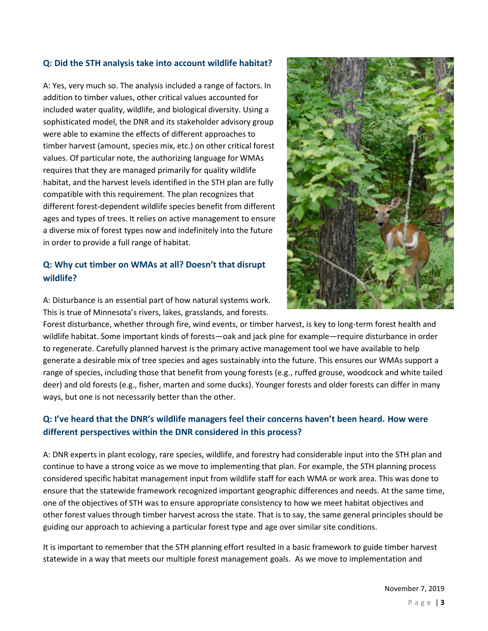### **Q: Did the STH analysis take into account wildlife habitat?**

A: Yes, very much so. The analysis included a range of factors. In addition to timber values, other critical values accounted for included water quality, wildlife, and biological diversity. Using a sophisticated model, the DNR and its stakeholder advisory group were able to examine the effects of different approaches to timber harvest (amount, species mix, etc.) on other critical forest values. Of particular note, the authorizing language for WMAs requires that they are managed primarily for quality wildlife habitat, and the harvest levels identified in the STH plan are fully compatible with this requirement. The plan recognizes that different forest-dependent wildlife species benefit from different ages and types of trees. It relies on active management to ensure a diverse mix of forest types now and indefinitely into the future in order to provide a full range of habitat.

### **Q: Why cut timber on WMAs at all? Doesn't that disrupt wildlife?**

A: Disturbance is an essential part of how natural systems work. This is true of Minnesota's rivers, lakes, grasslands, and forests.



Forest disturbance, whether through fire, wind events, or timber harvest, is key to long-term forest health and wildlife habitat. Some important kinds of forests—oak and jack pine for example—require disturbance in order to regenerate. Carefully planned harvest is the primary active management tool we have available to help generate a desirable mix of tree species and ages sustainably into the future. This ensures our WMAs support a range of species, including those that benefit from young forests (e.g., ruffed grouse, woodcock and white tailed deer) and old forests (e.g., fisher, marten and some ducks). Younger forests and older forests can differ in many ways, but one is not necessarily better than the other.

## **Q: I've heard that the DNR's wildlife managers feel their concerns haven't been heard. How were different perspectives within the DNR considered in this process?**

A: DNR experts in plant ecology, rare species, wildlife, and forestry had considerable input into the STH plan and continue to have a strong voice as we move to implementing that plan. For example, the STH planning process considered specific habitat management input from wildlife staff for each WMA or work area. This was done to ensure that the statewide framework recognized important geographic differences and needs. At the same time, one of the objectives of STH was to ensure appropriate consistency to how we meet habitat objectives and other forest values through timber harvest across the state. That is to say, the same general principles should be guiding our approach to achieving a particular forest type and age over similar site conditions.

It is important to remember that the STH planning effort resulted in a basic framework to guide timber harvest statewide in a way that meets our multiple forest management goals. As we move to implementation and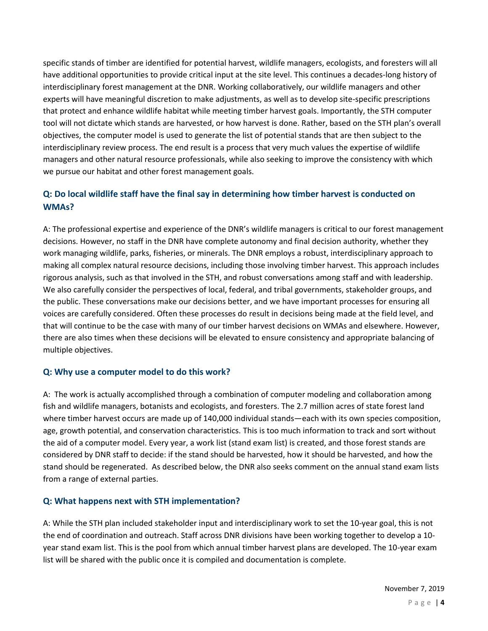specific stands of timber are identified for potential harvest, wildlife managers, ecologists, and foresters will all have additional opportunities to provide critical input at the site level. This continues a decades-long history of interdisciplinary forest management at the DNR. Working collaboratively, our wildlife managers and other experts will have meaningful discretion to make adjustments, as well as to develop site-specific prescriptions that protect and enhance wildlife habitat while meeting timber harvest goals. Importantly, the STH computer tool will not dictate which stands are harvested, or how harvest is done. Rather, based on the STH plan's overall objectives, the computer model is used to generate the list of potential stands that are then subject to the interdisciplinary review process. The end result is a process that very much values the expertise of wildlife managers and other natural resource professionals, while also seeking to improve the consistency with which we pursue our habitat and other forest management goals.

### **Q: Do local wildlife staff have the final say in determining how timber harvest is conducted on WMAs?**

A: The professional expertise and experience of the DNR's wildlife managers is critical to our forest management decisions. However, no staff in the DNR have complete autonomy and final decision authority, whether they work managing wildlife, parks, fisheries, or minerals. The DNR employs a robust, interdisciplinary approach to making all complex natural resource decisions, including those involving timber harvest. This approach includes rigorous analysis, such as that involved in the STH, and robust conversations among staff and with leadership. We also carefully consider the perspectives of local, federal, and tribal governments, stakeholder groups, and the public. These conversations make our decisions better, and we have important processes for ensuring all voices are carefully considered. Often these processes do result in decisions being made at the field level, and that will continue to be the case with many of our timber harvest decisions on WMAs and elsewhere. However, there are also times when these decisions will be elevated to ensure consistency and appropriate balancing of multiple objectives.

### **Q: Why use a computer model to do this work?**

A: The work is actually accomplished through a combination of computer modeling and collaboration among fish and wildlife managers, botanists and ecologists, and foresters. The 2.7 million acres of state forest land where timber harvest occurs are made up of 140,000 individual stands—each with its own species composition, age, growth potential, and conservation characteristics. This is too much information to track and sort without the aid of a computer model. Every year, a work list (stand exam list) is created, and those forest stands are considered by DNR staff to decide: if the stand should be harvested, how it should be harvested, and how the stand should be regenerated. As described below, the DNR also seeks comment on the annual stand exam lists from a range of external parties.

### **Q: What happens next with STH implementation?**

A: While the STH plan included stakeholder input and interdisciplinary work to set the 10-year goal, this is not the end of coordination and outreach. Staff across DNR divisions have been working together to develop a 10 year stand exam list. This is the pool from which annual timber harvest plans are developed. The 10-year exam list will be shared with the public once it is compiled and documentation is complete.